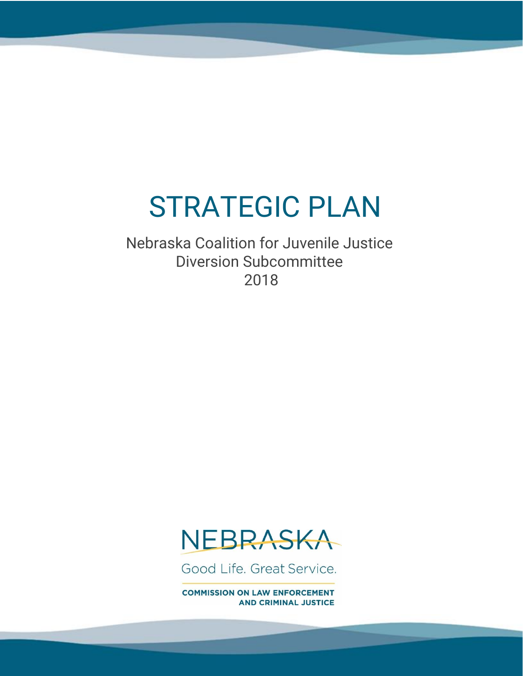# STRATEGIC PLAN

Nebraska Coalition for Juvenile Justice Diversion Subcommittee 2018



Good Life, Great Service.

**COMMISSION ON LAW ENFORCEMENT AND CRIMINAL JUSTICE**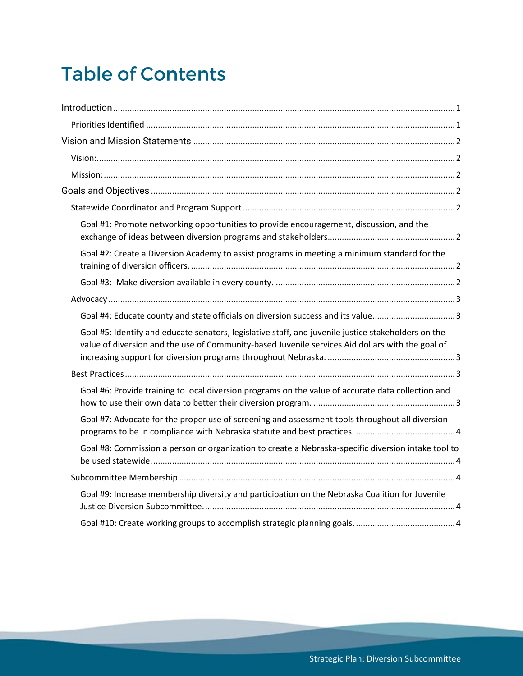## **Table of Contents**

| Goal #1: Promote networking opportunities to provide encouragement, discussion, and the                                                                                                                 |
|---------------------------------------------------------------------------------------------------------------------------------------------------------------------------------------------------------|
| Goal #2: Create a Diversion Academy to assist programs in meeting a minimum standard for the                                                                                                            |
|                                                                                                                                                                                                         |
|                                                                                                                                                                                                         |
| Goal #4: Educate county and state officials on diversion success and its value3                                                                                                                         |
| Goal #5: Identify and educate senators, legislative staff, and juvenile justice stakeholders on the<br>value of diversion and the use of Community-based Juvenile services Aid dollars with the goal of |
|                                                                                                                                                                                                         |
| Goal #6: Provide training to local diversion programs on the value of accurate data collection and                                                                                                      |
| Goal #7: Advocate for the proper use of screening and assessment tools throughout all diversion                                                                                                         |
| Goal #8: Commission a person or organization to create a Nebraska-specific diversion intake tool to                                                                                                     |
|                                                                                                                                                                                                         |
| Goal #9: Increase membership diversity and participation on the Nebraska Coalition for Juvenile                                                                                                         |
|                                                                                                                                                                                                         |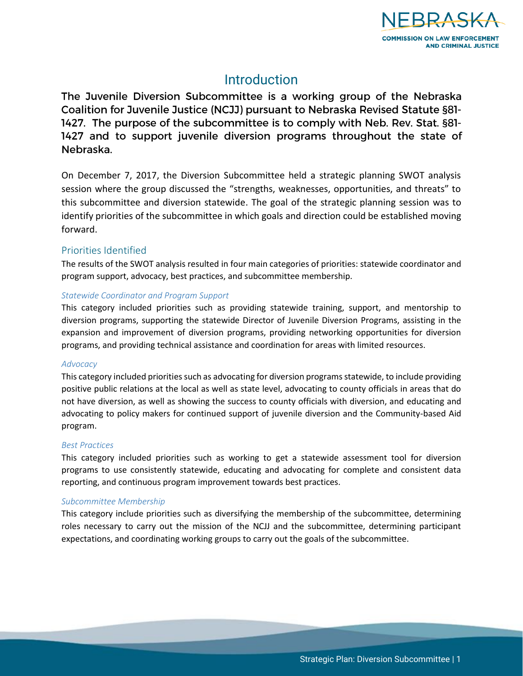

### **Introduction**

<span id="page-2-0"></span>The Juvenile Diversion Subcommittee is a working group of the Nebraska Coalition for Juvenile Justice (NCJJ) pursuant to Nebraska Revised Statute §81-1427. The purpose of the subcommittee is to comply with Neb. Rev. Stat. §81-1427 and to support juvenile diversion programs throughout the state of Nebraska.

On December 7, 2017, the Diversion Subcommittee held a strategic planning SWOT analysis session where the group discussed the "strengths, weaknesses, opportunities, and threats" to this subcommittee and diversion statewide. The goal of the strategic planning session was to identify priorities of the subcommittee in which goals and direction could be established moving forward.

### <span id="page-2-1"></span>Priorities Identified

The results of the SWOT analysis resulted in four main categories of priorities: statewide coordinator and program support, advocacy, best practices, and subcommittee membership.

### *Statewide Coordinator and Program Support*

This category included priorities such as providing statewide training, support, and mentorship to diversion programs, supporting the statewide Director of Juvenile Diversion Programs, assisting in the expansion and improvement of diversion programs, providing networking opportunities for diversion programs, and providing technical assistance and coordination for areas with limited resources.

### *Advocacy*

This category included priorities such as advocating for diversion programs statewide, to include providing positive public relations at the local as well as state level, advocating to county officials in areas that do not have diversion, as well as showing the success to county officials with diversion, and educating and advocating to policy makers for continued support of juvenile diversion and the Community-based Aid program.

### *Best Practices*

This category included priorities such as working to get a statewide assessment tool for diversion programs to use consistently statewide, educating and advocating for complete and consistent data reporting, and continuous program improvement towards best practices.

### *Subcommittee Membership*

This category include priorities such as diversifying the membership of the subcommittee, determining roles necessary to carry out the mission of the NCJJ and the subcommittee, determining participant expectations, and coordinating working groups to carry out the goals of the subcommittee.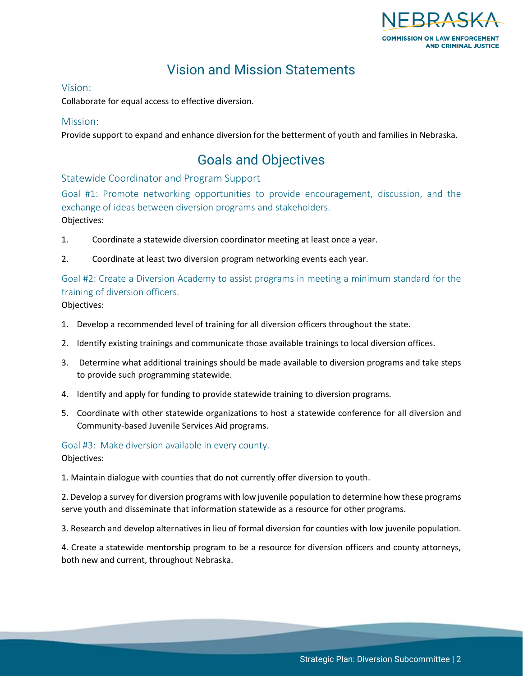

### Vision and Mission Statements

### <span id="page-3-1"></span><span id="page-3-0"></span>Vision:

Collaborate for equal access to effective diversion.

### <span id="page-3-2"></span>Mission:

<span id="page-3-3"></span>Provide support to expand and enhance diversion for the betterment of youth and families in Nebraska.

### Goals and Objectives

<span id="page-3-4"></span>Statewide Coordinator and Program Support

<span id="page-3-5"></span>Goal #1: Promote networking opportunities to provide encouragement, discussion, and the exchange of ideas between diversion programs and stakeholders. Objectives:

- 1. Coordinate a statewide diversion coordinator meeting at least once a year.
- 2. Coordinate at least two diversion program networking events each year.

<span id="page-3-6"></span>Goal #2: Create a Diversion Academy to assist programs in meeting a minimum standard for the training of diversion officers.

Objectives:

- 1. Develop a recommended level of training for all diversion officers throughout the state.
- 2. Identify existing trainings and communicate those available trainings to local diversion offices.
- 3. Determine what additional trainings should be made available to diversion programs and take steps to provide such programming statewide.
- 4. Identify and apply for funding to provide statewide training to diversion programs.
- 5. Coordinate with other statewide organizations to host a statewide conference for all diversion and Community-based Juvenile Services Aid programs.

<span id="page-3-7"></span>Goal #3: Make diversion available in every county. Objectives:

1. Maintain dialogue with counties that do not currently offer diversion to youth.

2. Develop a survey for diversion programs with low juvenile population to determine how these programs serve youth and disseminate that information statewide as a resource for other programs.

3. Research and develop alternatives in lieu of formal diversion for counties with low juvenile population.

4. Create a statewide mentorship program to be a resource for diversion officers and county attorneys, both new and current, throughout Nebraska.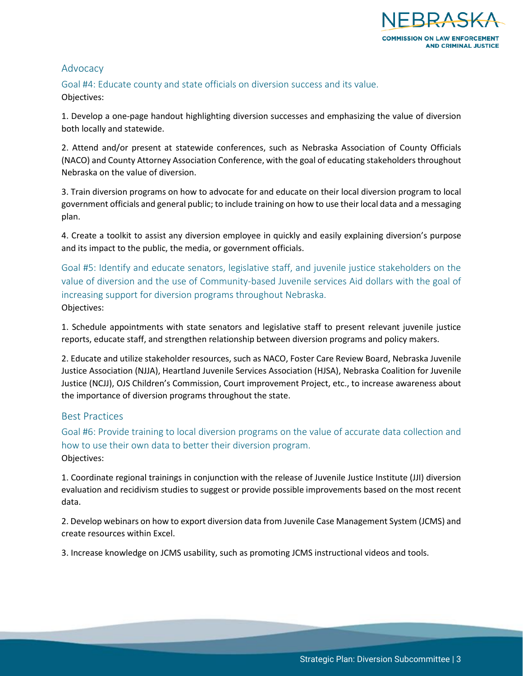

### <span id="page-4-0"></span>Advocacy

<span id="page-4-1"></span>Goal #4: Educate county and state officials on diversion success and its value. Objectives:

1. Develop a one-page handout highlighting diversion successes and emphasizing the value of diversion both locally and statewide.

2. Attend and/or present at statewide conferences, such as Nebraska Association of County Officials (NACO) and County Attorney Association Conference, with the goal of educating stakeholders throughout Nebraska on the value of diversion.

3. Train diversion programs on how to advocate for and educate on their local diversion program to local government officials and general public; to include training on how to use their local data and a messaging plan.

4. Create a toolkit to assist any diversion employee in quickly and easily explaining diversion's purpose and its impact to the public, the media, or government officials.

<span id="page-4-2"></span>Goal #5: Identify and educate senators, legislative staff, and juvenile justice stakeholders on the value of diversion and the use of Community-based Juvenile services Aid dollars with the goal of increasing support for diversion programs throughout Nebraska. Objectives:

1. Schedule appointments with state senators and legislative staff to present relevant juvenile justice reports, educate staff, and strengthen relationship between diversion programs and policy makers.

2. Educate and utilize stakeholder resources, such as NACO, Foster Care Review Board, Nebraska Juvenile Justice Association (NJJA), Heartland Juvenile Services Association (HJSA), Nebraska Coalition for Juvenile Justice (NCJJ), OJS Children's Commission, Court improvement Project, etc., to increase awareness about the importance of diversion programs throughout the state.

### <span id="page-4-3"></span>Best Practices

<span id="page-4-4"></span>Goal #6: Provide training to local diversion programs on the value of accurate data collection and how to use their own data to better their diversion program. Objectives:

1. Coordinate regional trainings in conjunction with the release of Juvenile Justice Institute (JJI) diversion evaluation and recidivism studies to suggest or provide possible improvements based on the most recent data.

2. Develop webinars on how to export diversion data from Juvenile Case Management System (JCMS) and create resources within Excel.

3. Increase knowledge on JCMS usability, such as promoting JCMS instructional videos and tools.